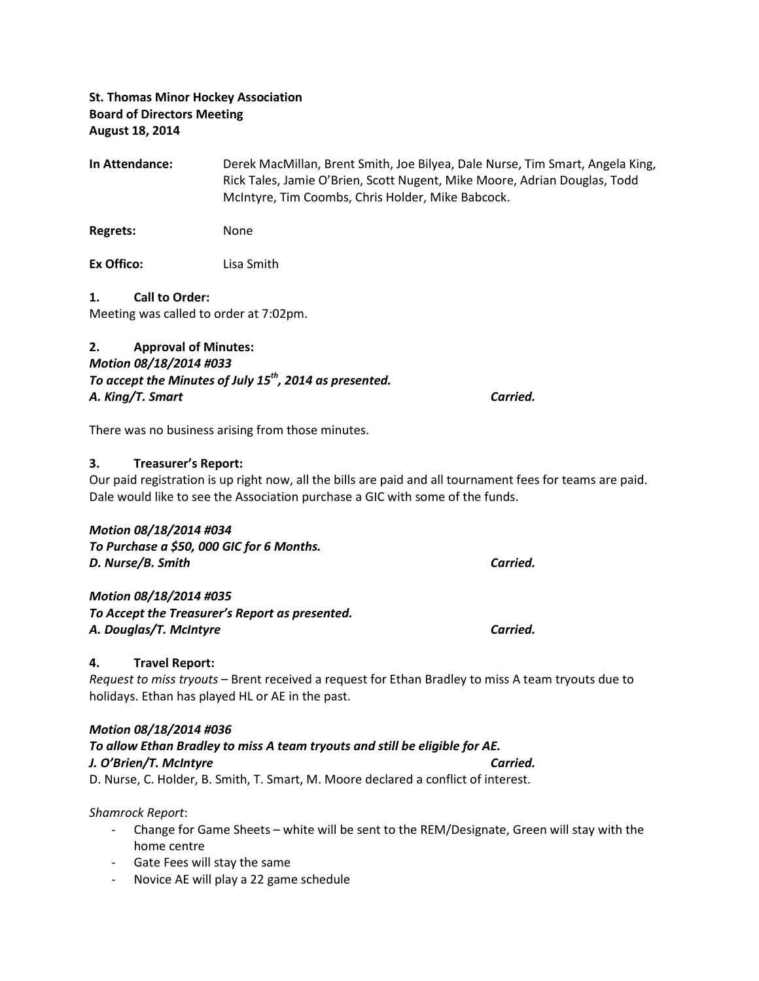# St. Thomas Minor Hockey Association Board of Directors Meeting August 18, 2014

In Attendance: Derek MacMillan, Brent Smith, Joe Bilyea, Dale Nurse, Tim Smart, Angela King, Rick Tales, Jamie O'Brien, Scott Nugent, Mike Moore, Adrian Douglas, Todd McIntyre, Tim Coombs, Chris Holder, Mike Babcock.

Regrets: None

Ex Offico: Lisa Smith

#### 1. Call to Order:

Meeting was called to order at 7:02pm.

# 2. Approval of Minutes: Motion 08/18/2014 #033 To accept the Minutes of July  $15^{th}$ , 2014 as presented. A. King/T. Smart Carried.

There was no business arising from those minutes.

#### 3. Treasurer's Report:

Our paid registration is up right now, all the bills are paid and all tournament fees for teams are paid. Dale would like to see the Association purchase a GIC with some of the funds.

#### Motion 08/18/2014 #034

To Purchase a \$50, 000 GIC for 6 Months. D. Nurse/B. Smith Carried.

#### Motion 08/18/2014 #035

To Accept the Treasurer's Report as presented. A. Douglas/T. McIntyre Carried.

#### 4. Travel Report:

Request to miss tryouts – Brent received a request for Ethan Bradley to miss A team tryouts due to holidays. Ethan has played HL or AE in the past.

#### Motion 08/18/2014 #036

## To allow Ethan Bradley to miss A team tryouts and still be eligible for AE. J. O'Brien/T. McIntyre Carried. D. Nurse, C. Holder, B. Smith, T. Smart, M. Moore declared a conflict of interest.

#### Shamrock Report:

- Change for Game Sheets white will be sent to the REM/Designate, Green will stay with the home centre
- Gate Fees will stay the same
- Novice AE will play a 22 game schedule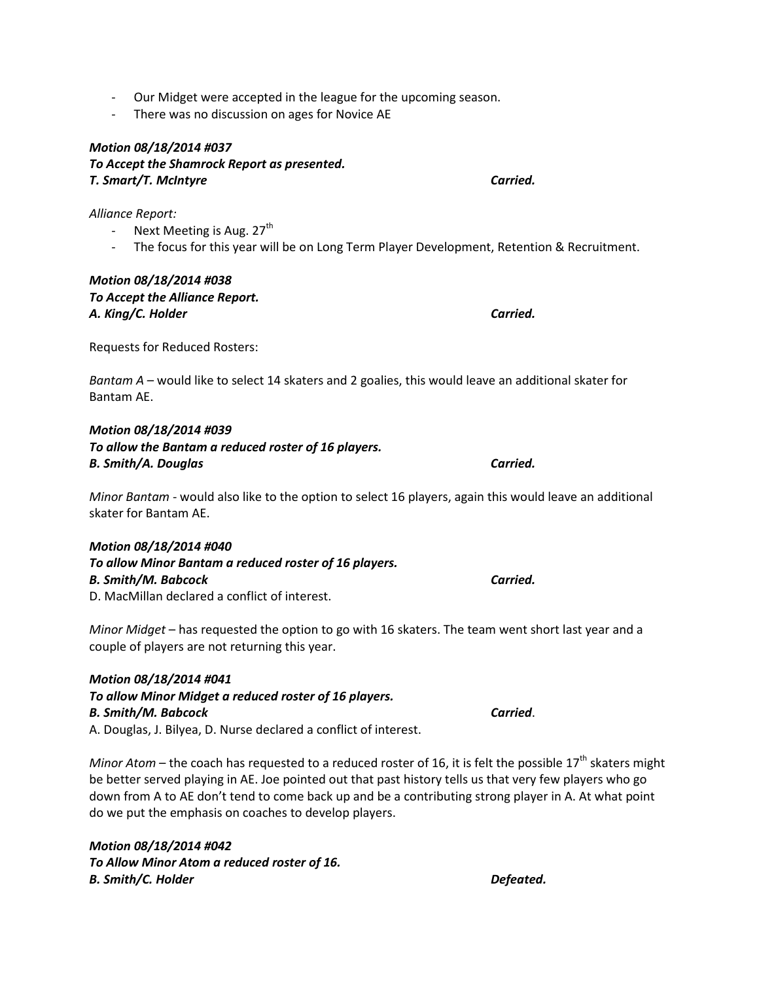- Our Midget were accepted in the league for the upcoming season.
- There was no discussion on ages for Novice AE

# Motion 08/18/2014 #037 To Accept the Shamrock Report as presented. T. Smart/T. McIntyre Carried.

Alliance Report:

- Next Meeting is Aug.  $27<sup>th</sup>$
- The focus for this year will be on Long Term Player Development, Retention & Recruitment.

## Motion 08/18/2014 #038 To Accept the Alliance Report. A. King/C. Holder Carried.

Requests for Reduced Rosters:

Bantam  $A$  – would like to select 14 skaters and 2 goalies, this would leave an additional skater for Bantam AE.

Motion 08/18/2014 #039 To allow the Bantam a reduced roster of 16 players. B. Smith/A. Douglas Carried.

Minor Bantam - would also like to the option to select 16 players, again this would leave an additional skater for Bantam AE.

#### Motion 08/18/2014 #040

To allow Minor Bantam a reduced roster of 16 players. B. Smith/M. Babcock Carried. D. MacMillan declared a conflict of interest.

Minor Midget – has requested the option to go with 16 skaters. The team went short last year and a couple of players are not returning this year.

# Motion 08/18/2014 #041 To allow Minor Midget a reduced roster of 16 players. B. Smith/M. Babcock Carried.

A. Douglas, J. Bilyea, D. Nurse declared a conflict of interest.

Minor Atom – the coach has requested to a reduced roster of 16, it is felt the possible  $17<sup>th</sup>$  skaters might be better served playing in AE. Joe pointed out that past history tells us that very few players who go down from A to AE don't tend to come back up and be a contributing strong player in A. At what point do we put the emphasis on coaches to develop players.

Motion 08/18/2014 #042 To Allow Minor Atom a reduced roster of 16. B. Smith/C. Holder **Defeated.**